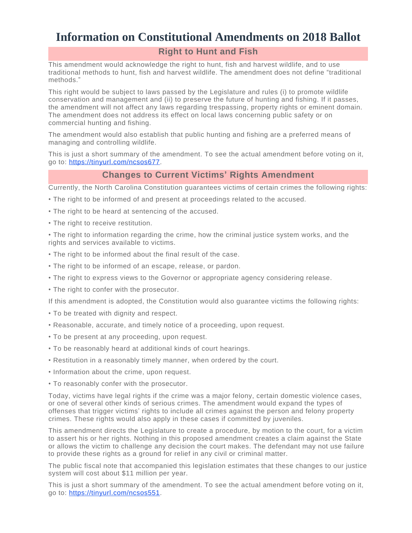# **Information on Constitutional Amendments on 2018 Ballot**

## **Right to Hunt and Fish**

This amendment would acknowledge the right to hunt, fish and harvest wildlife, and to use traditional methods to hunt, fish and harvest wildlife. The amendment does not define "traditional methods."

This right would be subject to laws passed by the Legislature and rules (i) to promote wildlife conservation and management and (ii) to preserve the future of hunting and fishing. If it passes, the amendment will not affect any laws regarding trespassing, property rights or eminent domain. The amendment does not address its effect on local laws concerning public safety or on commercial hunting and fishing.

The amendment would also establish that public hunting and fishing are a preferred means of managing and controlling wildlife.

This is just a short summary of the amendment. To see the actual amendment before voting on it, go to: [https://tinyurl.com/ncsos677.](https://tinyurl.com/ncsos677)

## **Changes to Current Victims' Rights Amendment**

Currently, the North Carolina Constitution guarantees victims of certain crimes the following rights:

- The right to be informed of and present at proceedings related to the accused.
- The right to be heard at sentencing of the accused.
- The right to receive restitution.

• The right to information regarding the crime, how the criminal justice system works, and the rights and services available to victims.

- The right to be informed about the final result of the case.
- The right to be informed of an escape, release, or pardon.
- The right to express views to the Governor or appropriate agency considering release.
- The right to confer with the prosecutor.

If this amendment is adopted, the Constitution would also guarantee victims the following rights:

- To be treated with dignity and respect.
- Reasonable, accurate, and timely notice of a proceeding, upon request.
- To be present at any proceeding, upon request.
- To be reasonably heard at additional kinds of court hearings.
- Restitution in a reasonably timely manner, when ordered by the court.
- Information about the crime, upon request.
- To reasonably confer with the prosecutor.

Today, victims have legal rights if the crime was a major felony, certain domestic violence cases, or one of several other kinds of serious crimes. The amendment would expand the types of offenses that trigger victims' rights to include all crimes against the person and felony property crimes. These rights would also apply in these cases if committed by juveniles.

This amendment directs the Legislature to create a procedure, by motion to the court, for a victim to assert his or her rights. Nothing in this proposed amendment creates a claim against the State or allows the victim to challenge any decision the court makes. The defendant may not use failure to provide these rights as a ground for relief in any civil or criminal matter.

The public fiscal note that accompanied this legislation estimates that these changes to our justice system will cost about \$11 million per year.

This is just a short summary of the amendment. To see the actual amendment before voting on it, go to: [https://tinyurl.com/ncsos551.](https://tinyurl.com/ncsos551)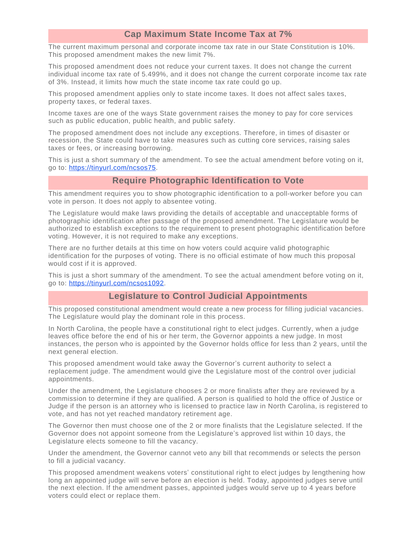## **Cap Maximum State Income Tax at 7%**

The current maximum personal and corporate income tax rate in our State Constitution is 10%. This proposed amendment makes the new limit 7%.

This proposed amendment does not reduce your current taxes. It does not change the current individual income tax rate of 5.499%, and it does not change the current corporate income tax rate of 3%. Instead, it limits how much the state income tax rate could go up.

This proposed amendment applies only to state income taxes. It does not affect sales taxes, property taxes, or federal taxes.

Income taxes are one of the ways State government raises the money to pay for core services such as public education, public health, and public safety.

The proposed amendment does not include any exceptions. Therefore, in times of disaster or recession, the State could have to take measures such as cutting core services, raising sales taxes or fees, or increasing borrowing.

This is just a short summary of the amendment. To see the actual amendment before voting on it, go to: [https://tinyurl.com/ncsos75.](https://tinyurl.com/ncsos75)

#### **Require Photographic Identification to Vote**

This amendment requires you to show photographic identification to a poll-worker before you can vote in person. It does not apply to absentee voting.

The Legislature would make laws providing the details of acceptable and unacceptable forms of photographic identification after passage of the proposed amendment. The Legislature would be authorized to establish exceptions to the requirement to present photographic identification before voting. However, it is not required to make any exceptions.

There are no further details at this time on how voters could acquire valid photographic identification for the purposes of voting. There is no official estimate of how much this proposal would cost if it is approved.

This is just a short summary of the amendment. To see the actual amendment before voting on it, go to: [https://tinyurl.com/ncsos1092.](https://tinyurl.com/ncsos1092)

#### **Legislature to Control Judicial Appointments**

This proposed constitutional amendment would create a new process for filling judicial vacancies. The Legislature would play the dominant role in this process.

In North Carolina, the people have a constitutional right to elect judges. Currently, when a judge leaves office before the end of his or her term, the Governor appoints a new judge. In most instances, the person who is appointed by the Governor holds office for less than 2 years, until the next general election.

This proposed amendment would take away the Governor's current authority to select a replacement judge. The amendment would give the Legislature most of the control over judicial appointments.

Under the amendment, the Legislature chooses 2 or more finalists after they are reviewed by a commission to determine if they are qualified. A person is qualified to hold the office of Justice or Judge if the person is an attorney who is licensed to practice law in North Carolina, is registered to vote, and has not yet reached mandatory retirement age.

The Governor then must choose one of the 2 or more finalists that the Legislature selected. If the Governor does not appoint someone from the Legislature's approved list within 10 days, the Legislature elects someone to fill the vacancy.

Under the amendment, the Governor cannot veto any bill that recommends or selects the person to fill a judicial vacancy.

This proposed amendment weakens voters' constitutional right to elect judges by lengthening how long an appointed judge will serve before an election is held. Today, appointed judges serve until the next election. If the amendment passes, appointed judges would serve up to 4 years before voters could elect or replace them.